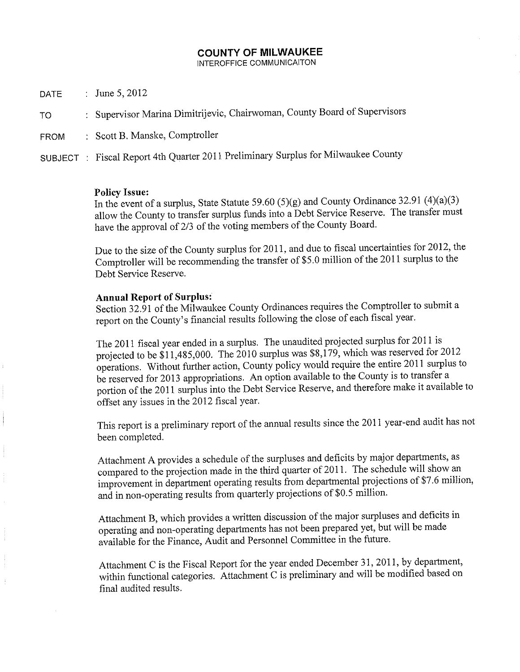# **COUNTY OF MILWAUKEE**

INTEROFFICE COMMUNICAITON

- : June 5, 2012 **DATE**
- : Supervisor Marina Dimitrijevic, Chairwoman, County Board of Supervisors TO
- : Scott B. Manske, Comptroller **FROM**
- SUBJECT : Fiscal Report 4th Quarter 2011 Preliminary Surplus for Milwaukee County

#### **Policy Issue:**

In the event of a surplus, State Statute 59.60 (5)(g) and County Ordinance 32.91 (4)(a)(3) allow the County to transfer surplus funds into a Debt Service Reserve. The transfer must have the approval of 2/3 of the voting members of the County Board.

Due to the size of the County surplus for 2011, and due to fiscal uncertainties for 2012, the Comptroller will be recommending the transfer of \$5.0 million of the 2011 surplus to the Debt Service Reserve.

## **Annual Report of Surplus:**

Section 32.91 of the Milwaukee County Ordinances requires the Comptroller to submit a report on the County's financial results following the close of each fiscal year.

The 2011 fiscal year ended in a surplus. The unaudited projected surplus for 2011 is projected to be \$11,485,000. The  $2010$  surplus was \$8,179, which was reserved for 2012 operations. Without further action, County policy would require the entire 2011 surplus to be reserved for 2013 appropriations. An option available to the County is to transfer a portion of the 2011 surplus into the Debt Service Reserve, and therefore make it available to offset any issues in the 2012 fiscal year.

This report is a preliminary report of the annual results since the 2011 year-end audit has not been completed.

Attachment A provides a schedule of the surpluses and deficits by major departments, as compared to the projection made in the third quarter of 2011. The schedule will show an improvement in department operating results from departmental projections of \$7.6 million, and in non-operating results from quarterly projections of \$0.5 million.

Attachment B, which provides a written discussion of the major surpluses and deficits in operating and non-operating departments has not been prepared yet, but will be made available for the Finance, Audit and Personnel Committee in the future.

Attachment C is the Fiscal Report for the year ended December 31, 2011, by department, within functional categories. Attachment C is preliminary and will be modified based on final audited results.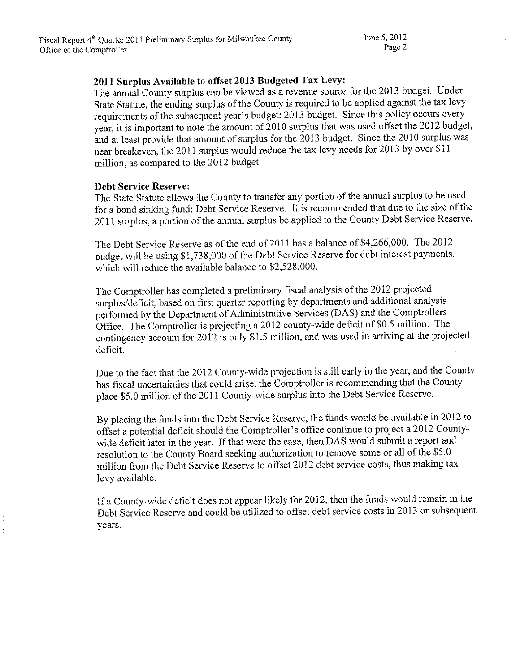## 2011 Surplus Available to offset 2013 Budgeted Tax Levy:

The annual County surplus can be viewed as a revenue source for the 2013 budget. Under State Statute, the ending surplus of the County is required to be applied against the tax levy requirements of the subsequent year's budget: 2013 budget. Since this policy occurs every year, it is important to note the amount of 2010 surplus that was used offset the 2012 budget, and at least provide that amount of surplus for the 2013 budget. Since the 2010 surplus was near breakeven, the 2011 surplus would reduce the tax levy needs for 2013 by over \$11 million, as compared to the 2012 budget.

#### **Debt Service Reserve:**

The State Statute allows the County to transfer any portion of the annual surplus to be used for a bond sinking fund: Debt Service Reserve. It is recommended that due to the size of the 2011 surplus, a portion of the annual surplus be applied to the County Debt Service Reserve.

The Debt Service Reserve as of the end of 2011 has a balance of \$4,266,000. The 2012 budget will be using \$1,738,000 of the Debt Service Reserve for debt interest payments, which will reduce the available balance to \$2,528,000.

The Comptroller has completed a preliminary fiscal analysis of the 2012 projected surplus/deficit, based on first quarter reporting by departments and additional analysis performed by the Department of Administrative Services (DAS) and the Comptrollers Office. The Comptroller is projecting a 2012 county-wide deficit of \$0.5 million. The contingency account for 2012 is only \$1.5 million, and was used in arriving at the projected deficit.

Due to the fact that the 2012 County-wide projection is still early in the year, and the County has fiscal uncertainties that could arise, the Comptroller is recommending that the County place \$5.0 million of the 2011 County-wide surplus into the Debt Service Reserve.

By placing the funds into the Debt Service Reserve, the funds would be available in 2012 to offset a potential deficit should the Comptroller's office continue to project a 2012 Countywide deficit later in the year. If that were the case, then DAS would submit a report and resolution to the County Board seeking authorization to remove some or all of the \$5.0 million from the Debt Service Reserve to offset 2012 debt service costs, thus making tax levy available.

If a County-wide deficit does not appear likely for 2012, then the funds would remain in the Debt Service Reserve and could be utilized to offset debt service costs in 2013 or subsequent years.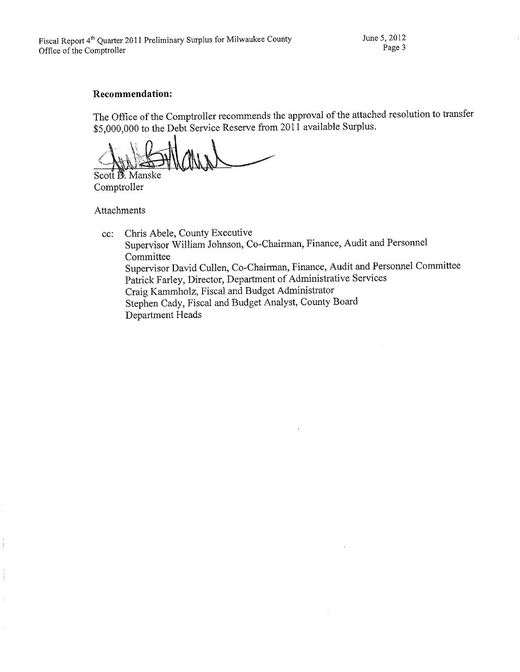June 5, 2012 Page 3

#### **Recommendation:**

The Office of the Comptroller recommends the approval of the attached resolution to transfer \$5,000,000 to the Debt Service Reserve from 2011 available Surplus.

Scott B. Manske

Comptroller

Attachments

Chris Abele, County Executive  $cc$ : Supervisor William Johnson, Co-Chairman, Finance, Audit and Personnel Committee Supervisor David Cullen, Co-Chairman, Finance, Audit and Personnel Committee Patrick Farley, Director, Department of Administrative Services Craig Kammholz, Fiscal and Budget Administrator Stephen Cady, Fiscal and Budget Analyst, County Board Department Heads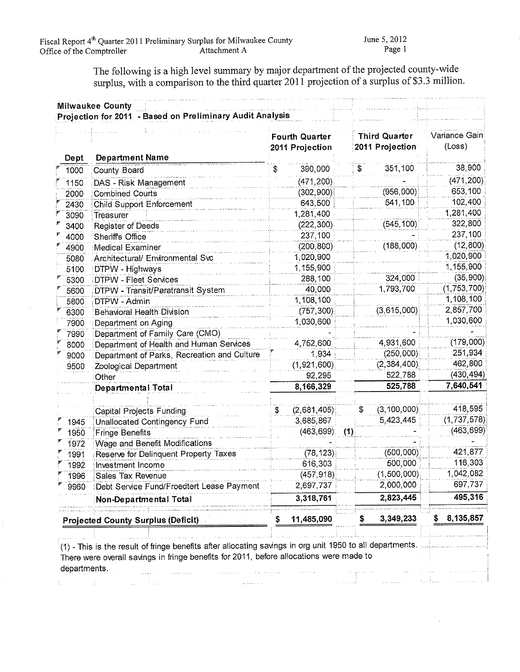$\hat{\tau}$ 

The following is a high level summary by major department of the projected county-wide surplus, with a comparison to the third quarter 2011 projection of a surplus of \$3.3 million.

| Dept | <b>Department Name</b>                                                                                                                                                                               |    | <b>Fourth Quarter</b><br>2011 Projection |   | <b>Third Quarter</b><br>2011 Projection | Variance Gain<br>(Loss) |
|------|------------------------------------------------------------------------------------------------------------------------------------------------------------------------------------------------------|----|------------------------------------------|---|-----------------------------------------|-------------------------|
| 1000 | County Board                                                                                                                                                                                         | \$ | 390,000                                  | S | 351,100                                 | 38,900                  |
| 1150 | DAS - Risk Management                                                                                                                                                                                |    | (471, 200)                               |   |                                         | (471, 200)              |
| 2000 | <b>Combined Courts</b>                                                                                                                                                                               |    | (302,900)                                |   | (956,000)                               | 653,100                 |
| 2430 | <b>Child Support Enforcement</b>                                                                                                                                                                     |    | 643,500                                  |   | 541,100                                 | 102,400                 |
| 3090 | Treasurer                                                                                                                                                                                            |    | 1,281,400                                |   |                                         | 1,281,400               |
| 3400 | <b>Register of Deeds</b>                                                                                                                                                                             |    | (222, 300)                               |   | (545, 100)                              | 322,800                 |
| 4000 | Sheriffs Office                                                                                                                                                                                      |    | 237,100                                  |   |                                         | 237,100                 |
| 4900 | <b>Medical Examiner</b>                                                                                                                                                                              |    | (200, 800)                               |   | (188,000)                               | (12, 800)               |
| 5080 | Architectural/ Environmental Svc                                                                                                                                                                     |    | 1,020,900                                |   |                                         | 1,020,900               |
| 5100 | <b>DTPW - Highways</b>                                                                                                                                                                               |    | 1,155,900                                |   |                                         | 1,155,900               |
| 5300 | <b>DTPW - Fleet Services</b>                                                                                                                                                                         |    | 288,100                                  |   | 324,000                                 | (35,900)                |
| 5600 | DTPW - Transit/Paratransit System                                                                                                                                                                    |    | 40,000                                   |   | 1,793,700                               | (1,753,700)             |
| 5800 | DTPW - Admin                                                                                                                                                                                         |    | 1,108,100                                |   |                                         | 1,108,100               |
| 6300 | <b>Behavioral Health Division</b>                                                                                                                                                                    |    | (757, 300)                               |   | (3,615,000)                             | 2,857,700               |
| 7900 | Department on Aging                                                                                                                                                                                  |    | 1,030,600                                |   |                                         | 1,030,600               |
| 7990 | Department of Family Care (CMO)                                                                                                                                                                      |    |                                          |   |                                         |                         |
| 8000 | Department of Health and Human Services                                                                                                                                                              |    | 4,752,600                                |   | 4,931,600                               | (179,000)               |
| 9000 | Department of Parks, Recreation and Culture                                                                                                                                                          |    | 1,934                                    |   | (250,000)                               | 251,934                 |
| 9500 | Zoological Department                                                                                                                                                                                |    | (1,921,600)                              |   | (2, 384, 400)                           | 462,800                 |
|      | Other                                                                                                                                                                                                |    | 92,295                                   |   | 522,788                                 | (430, 494)              |
|      | <b>Departmental Total</b>                                                                                                                                                                            |    | 8,166,329                                |   | 525,788                                 | 7,640,541               |
|      | Capital Projects Funding                                                                                                                                                                             | 3  | (2,681,405)                              | S | (3, 100, 000)                           | 418,595                 |
| 1945 | Unallocated Contingency Fund                                                                                                                                                                         |    | 3,685,867                                |   | 5,423,445                               | (1,737,578)             |
| 1950 | <b>Fringe Benefits</b>                                                                                                                                                                               |    | $(463, 699)$ (1)                         |   |                                         | (463, 699)              |
| 1972 | <b>Wage and Benefit Modifications</b>                                                                                                                                                                |    |                                          |   |                                         |                         |
| 1991 | Reserve for Delinquent Property Taxes                                                                                                                                                                |    | (78, 123)                                |   | (500, 000)                              | 421,877                 |
| 1992 | Investment Income                                                                                                                                                                                    |    | 616,303                                  |   | 500,000                                 | 116,303                 |
| 1996 | Sales Tax Revenue                                                                                                                                                                                    |    | (457, 918)                               |   | (1,500,000)                             | 1,042,082               |
| 9960 | Debt Service Fund/Froedtert Lease Payment                                                                                                                                                            |    | 2,697,737                                |   | 2,000,000                               | 697,737                 |
|      | Non-Departmental Total                                                                                                                                                                               |    | 3,318,761                                |   | 2,823,445                               | 495,316                 |
|      | <b>Projected County Surplus (Deficit)</b>                                                                                                                                                            |    | 11,485,090                               |   | 3,349,233                               | 8,135,857               |
|      | (1) - This is the result of fringe benefits after allocating savings in org unit 1950 to all departments.<br>There were overall savings in fringe benefits for 2011, before allocations were made to |    |                                          |   |                                         |                         |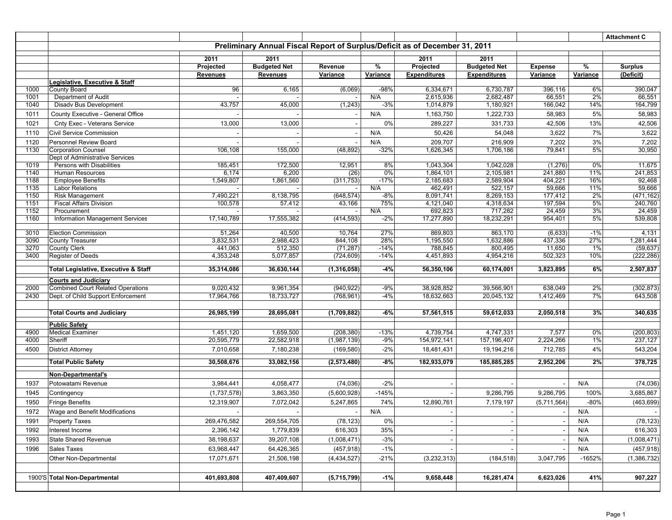|              |                                                               |                 |                     |               |               |                                                                             |                        |                   |           | <b>Attachment C</b> |
|--------------|---------------------------------------------------------------|-----------------|---------------------|---------------|---------------|-----------------------------------------------------------------------------|------------------------|-------------------|-----------|---------------------|
|              |                                                               |                 |                     |               |               | Preliminary Annual Fiscal Report of Surplus/Deficit as of December 31, 2011 |                        |                   |           |                     |
|              |                                                               | 2011            | 2011                |               |               | 2011                                                                        | 2011                   |                   |           |                     |
|              |                                                               | Projected       | <b>Budgeted Net</b> | Revenue       | $\frac{1}{6}$ | Projected                                                                   | <b>Budgeted Net</b>    | <b>Expense</b>    | %         | <b>Surplus</b>      |
|              |                                                               | <b>Revenues</b> | <b>Revenues</b>     | Variance      | Variance      | <b>Expenditures</b>                                                         | <b>Expenditures</b>    | Variance          | Variance  | (Deficit)           |
|              | Legislative, Executive & Staff                                |                 |                     |               |               |                                                                             |                        |                   |           |                     |
| 1000         | County Board                                                  | 96              | 6,165               | (6,069)       | $-98%$        | 6,334,671                                                                   | 6,730,787              | 396,116           | 6%        | 390,047             |
| 1001<br>1040 | Department of Audit<br><b>Disadv Bus Development</b>          | 43,757          | 45,000              | (1, 243)      | N/A<br>$-3%$  | 2,615,936<br>1,014,879                                                      | 2,682,487<br>1,180,921 | 66,551<br>166,042 | 2%<br>14% | 66,551<br>164,799   |
|              |                                                               |                 |                     |               | N/A           |                                                                             |                        |                   |           |                     |
| 1011         | County Executive - General Office                             |                 |                     |               |               | 1,163,750                                                                   | 1,222,733              | 58,983            | 5%        | 58,983              |
| 1021         | Cnty Exec - Veterans Service                                  | 13,000          | 13,000              |               | 0%            | 289,227                                                                     | 331,733                | 42,506            | 13%       | 42,506              |
| 1110         | Civil Service Commission                                      |                 |                     |               | N/A           | 50,426                                                                      | 54,048                 | 3,622             | 7%        | 3,622               |
| 1120         | Personnel Review Board                                        |                 |                     |               | N/A           | 209,707                                                                     | 216,909                | 7,202             | 3%        | 7,202               |
| 1130         | <b>Corporation Counsel</b><br>Dept of Administrative Services | 106,108         | 155,000             | (48, 892)     | $-32%$        | 1,626,345                                                                   | 1,706,186              | 79,841            | 5%        | 30,950              |
| 1019         | Persons with Disabilities                                     | 185,451         | 172,500             | 12,951        | 8%            | 1,043,304                                                                   | 1,042,028              | (1, 276)          | 0%        | 11,675              |
| 1140         | Human Resources                                               | 6,174           | 6,200               | (26)          | 0%            | 1,864,101                                                                   | 2,105,981              | 241,880           | 11%       | 241,853             |
| 1188         | <b>Employee Benefits</b>                                      | 1,549,807       | 1,861,560           | (311, 753)    | $-17%$        | 2,185,683                                                                   | 2,589,904              | 404,221           | 16%       | 92,468              |
| 1135         | <b>Labor Relations</b>                                        |                 |                     |               | N/A           | 462,491                                                                     | 522,157                | 59,666            | 11%       | 59,666              |
| 1150         | <b>Risk Management</b>                                        | 7,490,221       | 8,138,795           | (648, 574)    | $-8%$         | 8,091,741                                                                   | 8,269,153              | 177,412           | 2%        | (471, 162)          |
| 1151         | <b>Fiscal Affairs Division</b>                                | 100,578         | 57,412              | 43,166        | 75%           | 4,121,040                                                                   | 4,318,634              | 197,594           | 5%        | 240,760             |
| 1152<br>1160 | Procurement<br><b>Information Management Services</b>         | 17,140,789      | 17,555,382          | (414, 593)    | N/A<br>$-2%$  | 692,823<br>17,277,890                                                       | 717,282<br>18,232,291  | 24,459<br>954,401 | 3%<br>5%  | 24,459<br>539,808   |
|              |                                                               |                 |                     |               |               |                                                                             |                        |                   |           |                     |
| 3010         | <b>Election Commission</b>                                    | 51,264          | 40,500              | 10,764        | 27%           | 869,803                                                                     | 863,170                | (6,633)           | $-1%$     | 4,131               |
| 3090         | County Treasurer                                              | 3,832,531       | 2,988,423           | 844,108       | 28%           | 1,195,550                                                                   | 1,632,886              | 437,336           | 27%       | 1,281,444           |
| 3270         | County Clerk                                                  | 441,063         | 512,350             | (71, 287)     | $-14%$        | 788,845                                                                     | 800,495                | 11,650            | $1\%$     | (59, 637)           |
| 3400         | Register of Deeds                                             | 4,353,248       | 5,077,857           | (724, 609)    | $-14%$        | 4,451,893                                                                   | 4,954,216              | 502,323           | 10%       | (222, 286)          |
|              | Total Legislative, Executive & Staff                          | 35,314,086      | 36,630,144          | (1,316,058)   | $-4%$         | 56,350,106                                                                  | 60,174,001             | 3,823,895         | 6%        | 2,507,837           |
|              | <b>Courts and Judiciary</b>                                   |                 |                     |               |               |                                                                             |                        |                   |           |                     |
| 2000         | <b>Combined Court Related Operations</b>                      | 9,020,432       | 9,961,354           | (940, 922)    | $-9%$         | 38,928,852                                                                  | 39,566,901             | 638,049           | 2%        | (302, 873)          |
| 2430         | Dept. of Child Support Enforcement                            | 17,964,766      | 18,733,727          | (768, 961)    | $-4%$         | 18,632,663                                                                  | 20,045,132             | 1,412,469         | 7%        | 643,508             |
|              |                                                               |                 |                     |               |               |                                                                             |                        |                   |           |                     |
|              | <b>Total Courts and Judiciary</b>                             | 26,985,199      | 28,695,081          | (1,709,882)   | $-6%$         | 57,561,515                                                                  | 59,612,033             | 2,050,518         | 3%        | 340,635             |
|              | <b>Public Safety</b>                                          |                 |                     |               |               |                                                                             |                        |                   |           |                     |
| 4900         | <b>Medical Examiner</b>                                       | 1,451,120       | 1,659,500           | (208, 380)    | $-13%$        | 4,739,754                                                                   | 4,747,331              | 7,577             | 0%        | (200, 803)          |
| 4000         | Sheriff                                                       | 20,595,779      | 22,582,918          | (1,987,139)   | $-9%$         | 154,972,141                                                                 | 157,196,407            | 2,224,266         | $1\%$     | 237,127             |
| 4500         | <b>District Attorney</b>                                      | 7,010,658       | 7,180,238           | (169, 580)    | $-2%$         | 18,481,431                                                                  | 19,194,216             | 712,785           | 4%        | 543,204             |
|              |                                                               |                 |                     |               |               |                                                                             |                        |                   |           |                     |
|              | <b>Total Public Safety</b>                                    | 30,508,676      | 33,082,156          | (2,573,480)   | $-8%$         | 182,933,079                                                                 | 185,885,285            | 2,952,206         | 2%        | 378,725             |
|              | Non-Departmental's                                            |                 |                     |               |               |                                                                             |                        |                   |           |                     |
| 1937         | Potowatami Revenue                                            | 3,984,441       | 4,058,477           | (74, 036)     | $-2%$         |                                                                             |                        |                   | N/A       | (74, 036)           |
| 1945         | Contingency                                                   | (1,737,578)     | 3,863,350           | (5,600,928)   | $-145%$       |                                                                             | 9,286,795              | 9,286,795         | 100%      | 3,685,867           |
| 1950         | <b>Fringe Benefits</b>                                        | 12,319,907      | 7,072,042           | 5,247,865     | 74%           | 12,890,761                                                                  | 7,179,197              | (5,711,564)       | $-80%$    | (463, 699)          |
| 1972         | Wage and Benefit Modifications                                | $\sim$          | $\sim$              |               | N/A           |                                                                             |                        |                   | N/A       |                     |
| 1991         | <b>Property Taxes</b>                                         | 269,476,582     | 269,554,705         | (78, 123)     | 0%            |                                                                             |                        |                   | N/A       | (78, 123)           |
| 1992         | Interest Income                                               | 2,396,142       | 1,779,839           | 616,303       | 35%           |                                                                             |                        |                   | N/A       | 616,303             |
|              |                                                               |                 |                     |               |               |                                                                             |                        |                   |           |                     |
| 1993         | <b>State Shared Revenue</b>                                   | 38,198,637      | 39,207,108          | (1,008,471)   | $-3%$         |                                                                             |                        |                   | N/A       | (1,008,471)         |
| 1996         | Sales Taxes                                                   | 63,968,447      | 64,426,365          | (457, 918)    | $-1%$         |                                                                             |                        |                   | N/A       | (457, 918)          |
|              | Other Non-Departmental                                        | 17,071,671      | 21,506,198          | (4, 434, 527) | $-21%$        | (3,232,313)                                                                 | (184, 518)             | 3,047,795         | $-1652%$  | (1,386,732)         |
|              |                                                               |                 |                     |               |               |                                                                             |                        |                   |           |                     |
|              | 1900'S Total Non-Departmental                                 | 401,693,808     | 407,409,607         | (5,715,799)   | $-1%$         | 9,658,448                                                                   | 16,281,474             | 6,623,026         | 41%       | 907,227             |
|              |                                                               |                 |                     |               |               |                                                                             |                        |                   |           |                     |